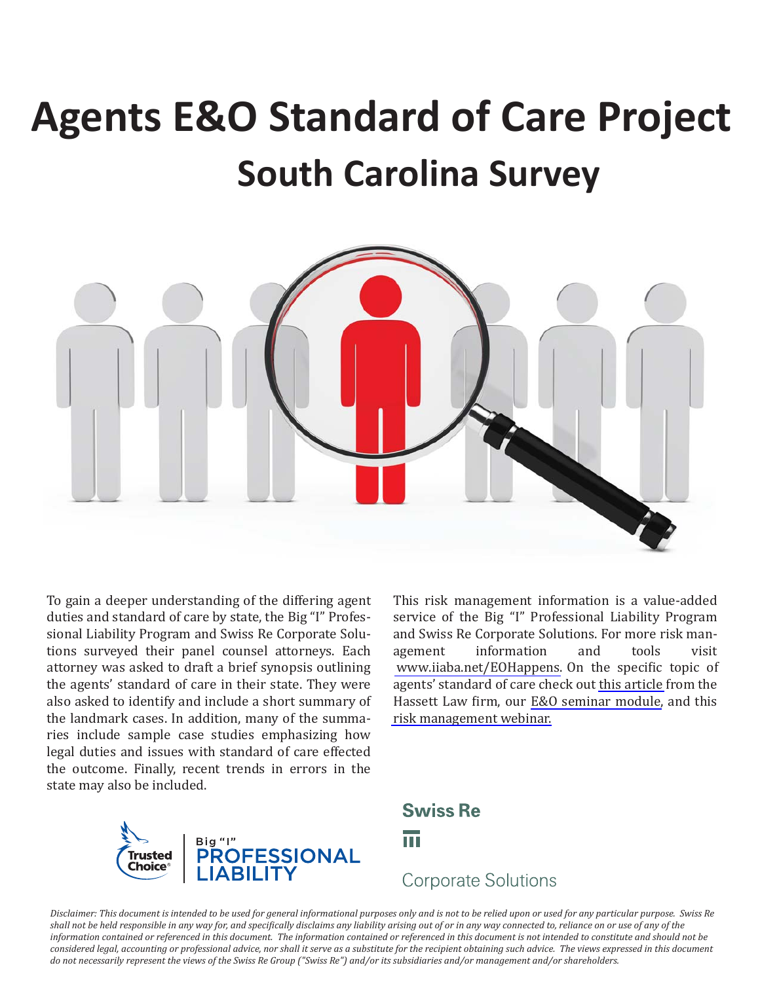# **Agents E&O Standard of Care Project South Carolina Survey**



To gain a deeper understanding of the differing agent duties and standard of care by state, the Big "I" Professional Liability Program and Swiss Re Corporate Solutions surveyed their panel counsel attorneys. Each attorney was asked to draft a brief synopsis outlining the agents' standard of care in their state. They were also asked to identify and include a short summary of the landmark cases. In addition, many of the summaries include sample case studies emphasizing how legal duties and issues with standard of care effected the outcome. Finally, recent trends in errors in the state may also be included.

This risk management information is a value-added service of the Big "I" Professional Liability Program and Swiss Re Corporate Solutions. For more risk management information and tools visit [www.iiaba.net/EOHappens.](www.iiaba.net/EOHappens) On the specific topic of agents' standard of care check out [this article](http://rms.iiaba.net/Content/E_O-Happens/Standard-of-Care/Duty.to.Advise.pdf) from the Hassett Law firm, our [E&O seminar module,](http://rms.iiaba.net/Content/Course-Materials/MODULE_04/default.aspx) and this [risk management webinar.](http://rms.iiaba.net/Content/Course-Materials/MODULE_04/default.aspx) 



**Swiss Re** m

## **Corporate Solutions**

*Disclaimer: This document is intended to be used for general informational purposes only and is not to be relied upon or used for any particular purpose. Swiss Re shall not be held responsible in any way for, and specifically disclaims any liability arising out of or in any way connected to, reliance on or use of any of the information contained or referenced in this document. The information contained or referenced in this document is not intended to constitute and should not be*  considered legal, accounting or professional advice, nor shall it serve as a substitute for the recipient obtaining such advice. The views expressed in this document *do not necessarily represent the views of the Swiss Re Group ("Swiss Re") and/or its subsidiaries and/or management and/or shareholders.*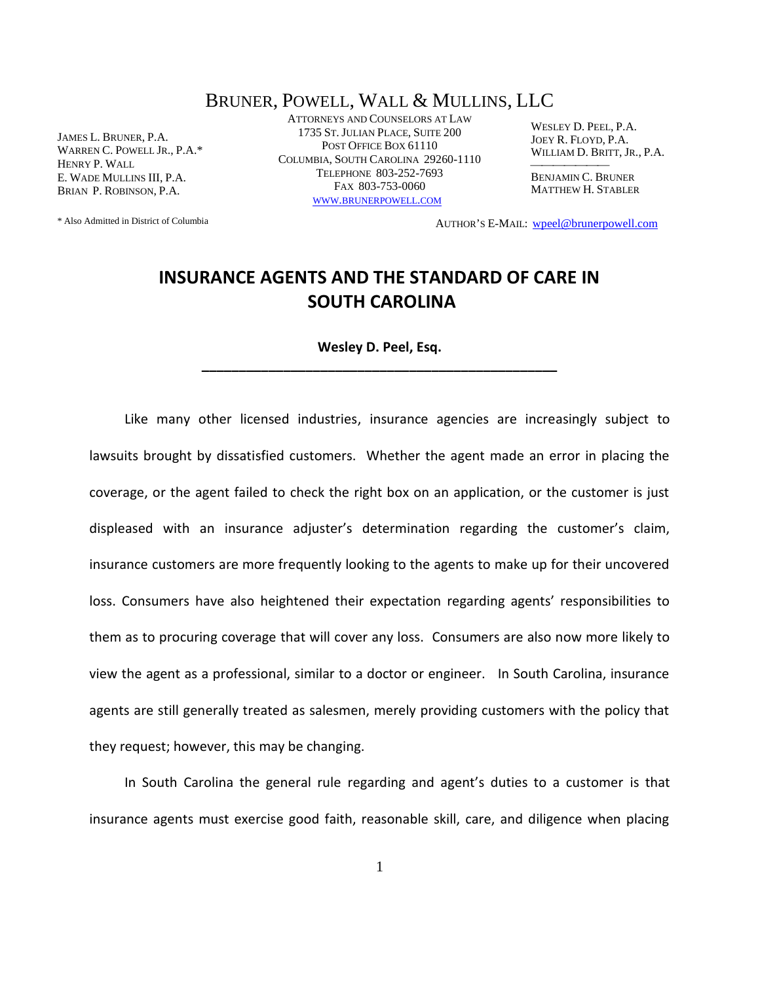### BRUNER, POWELL, WALL & MULLINS, LLC

JAMES L. BRUNER, P.A. WARREN C. POWELL JR., P.A.\* HENRY P. WALL E. WADE MULLINS III, P.A. BRIAN P. ROBINSON, P.A.

ATTORNEYS AND COUNSELORS AT LAW 1735 ST.JULIAN PLACE, SUITE 200 POST OFFICE BOX 61110 COLUMBIA, SOUTH CAROLINA 29260-1110 TELEPHONE 803-252-7693 FAX 803-753-0060 WWW.BRUNERPOWELL.COM

WESLEY D. PEEL, P.A. JOEY R. FLOYD, P.A. WILLIAM D. BRITT, JR., P.A.

BENJAMIN C. BRUNER MATTHEW H. STABLER

AUTHOR'S E-MAIL: wpeel@brunerpowell.com

\* Also Admitted in District of Columbia

## **INSURANCE AGENTS AND THE STANDARD OF CARE IN SOUTH CAROLINA**

**Wesley D. Peel, Esq.**

**\_\_\_\_\_\_\_\_\_\_\_\_\_\_\_\_\_\_\_\_\_\_\_\_\_\_\_\_\_\_\_\_\_\_\_\_\_\_\_\_\_\_\_\_\_\_\_\_**

Like many other licensed industries, insurance agencies are increasingly subject to lawsuits brought by dissatisfied customers. Whether the agent made an error in placing the coverage, or the agent failed to check the right box on an application, or the customer is just displeased with an insurance adjuster's determination regarding the customer's claim, insurance customers are more frequently looking to the agents to make up for their uncovered loss. Consumers have also heightened their expectation regarding agents' responsibilities to them as to procuring coverage that will cover any loss. Consumers are also now more likely to view the agent as a professional, similar to a doctor or engineer. In South Carolina, insurance agents are still generally treated as salesmen, merely providing customers with the policy that they request; however, this may be changing.

In South Carolina the general rule regarding and agent's duties to a customer is that insurance agents must exercise good faith, reasonable skill, care, and diligence when placing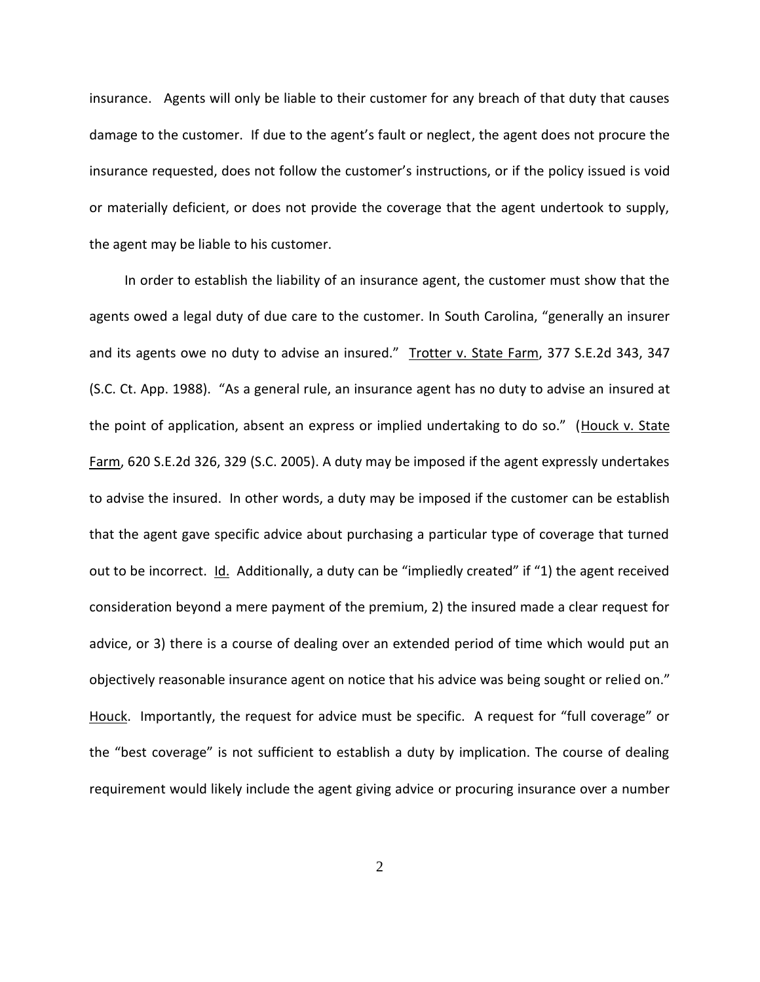insurance. Agents will only be liable to their customer for any breach of that duty that causes damage to the customer. If due to the agent's fault or neglect, the agent does not procure the insurance requested, does not follow the customer's instructions, or if the policy issued is void or materially deficient, or does not provide the coverage that the agent undertook to supply, the agent may be liable to his customer.

In order to establish the liability of an insurance agent, the customer must show that the agents owed a legal duty of due care to the customer. In South Carolina, "generally an insurer and its agents owe no duty to advise an insured." Trotter v. State Farm, 377 S.E.2d 343, 347 (S.C. Ct. App. 1988). "As a general rule, an insurance agent has no duty to advise an insured at the point of application, absent an express or implied undertaking to do so." (Houck v. State Farm, 620 S.E.2d 326, 329 (S.C. 2005). A duty may be imposed if the agent expressly undertakes to advise the insured. In other words, a duty may be imposed if the customer can be establish that the agent gave specific advice about purchasing a particular type of coverage that turned out to be incorrect. Id. Additionally, a duty can be "impliedly created" if "1) the agent received consideration beyond a mere payment of the premium, 2) the insured made a clear request for advice, or 3) there is a course of dealing over an extended period of time which would put an objectively reasonable insurance agent on notice that his advice was being sought or relied on." Houck. Importantly, the request for advice must be specific. A request for "full coverage" or the "best coverage" is not sufficient to establish a duty by implication. The course of dealing requirement would likely include the agent giving advice or procuring insurance over a number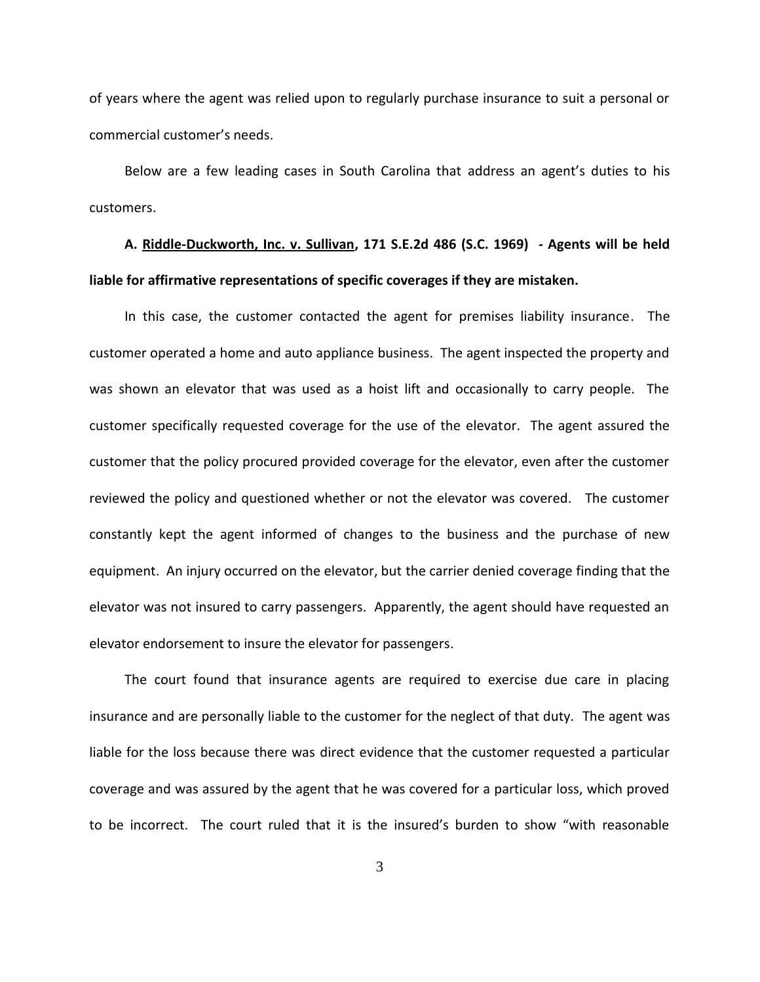of years where the agent was relied upon to regularly purchase insurance to suit a personal or commercial customer's needs.

Below are a few leading cases in South Carolina that address an agent's duties to his customers.

# **A. Riddle-Duckworth, Inc. v. Sullivan, 171 S.E.2d 486 (S.C. 1969) - Agents will be held liable for affirmative representations of specific coverages if they are mistaken.**

In this case, the customer contacted the agent for premises liability insurance. The customer operated a home and auto appliance business. The agent inspected the property and was shown an elevator that was used as a hoist lift and occasionally to carry people. The customer specifically requested coverage for the use of the elevator. The agent assured the customer that the policy procured provided coverage for the elevator, even after the customer reviewed the policy and questioned whether or not the elevator was covered. The customer constantly kept the agent informed of changes to the business and the purchase of new equipment. An injury occurred on the elevator, but the carrier denied coverage finding that the elevator was not insured to carry passengers. Apparently, the agent should have requested an elevator endorsement to insure the elevator for passengers.

The court found that insurance agents are required to exercise due care in placing insurance and are personally liable to the customer for the neglect of that duty. The agent was liable for the loss because there was direct evidence that the customer requested a particular coverage and was assured by the agent that he was covered for a particular loss, which proved to be incorrect. The court ruled that it is the insured's burden to show "with reasonable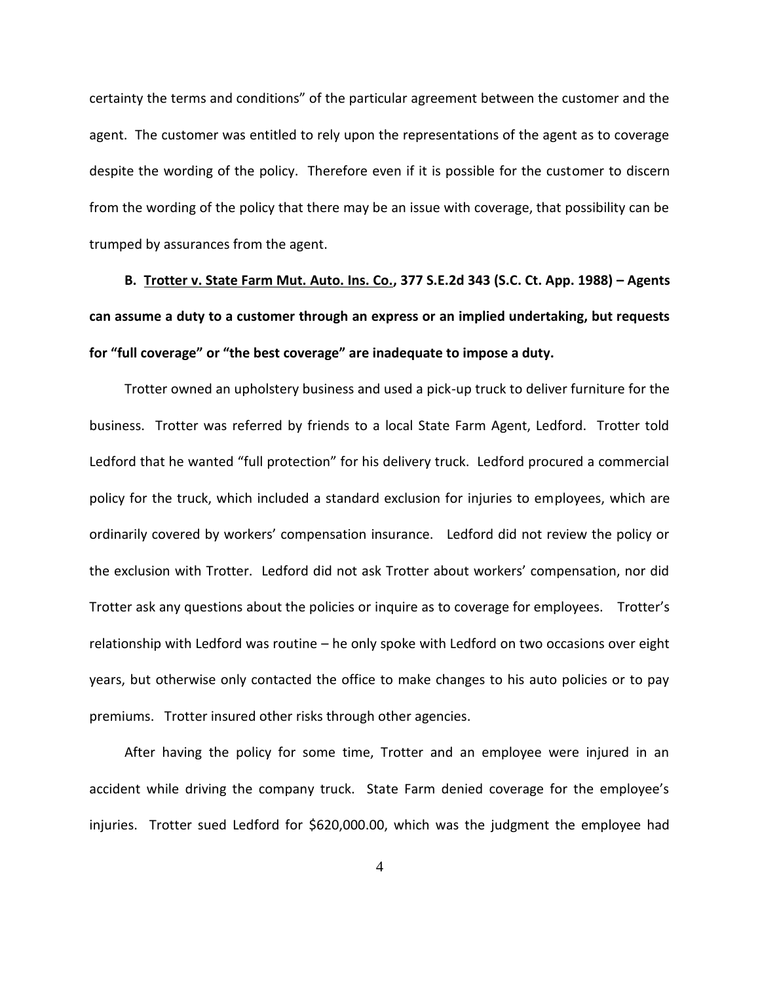certainty the terms and conditions" of the particular agreement between the customer and the agent. The customer was entitled to rely upon the representations of the agent as to coverage despite the wording of the policy. Therefore even if it is possible for the customer to discern from the wording of the policy that there may be an issue with coverage, that possibility can be trumped by assurances from the agent.

**B. Trotter v. State Farm Mut. Auto. Ins. Co., 377 S.E.2d 343 (S.C. Ct. App. 1988) – Agents can assume a duty to a customer through an express or an implied undertaking, but requests for "full coverage" or "the best coverage" are inadequate to impose a duty.**

Trotter owned an upholstery business and used a pick-up truck to deliver furniture for the business. Trotter was referred by friends to a local State Farm Agent, Ledford. Trotter told Ledford that he wanted "full protection" for his delivery truck. Ledford procured a commercial policy for the truck, which included a standard exclusion for injuries to employees, which are ordinarily covered by workers' compensation insurance. Ledford did not review the policy or the exclusion with Trotter. Ledford did not ask Trotter about workers' compensation, nor did Trotter ask any questions about the policies or inquire as to coverage for employees. Trotter's relationship with Ledford was routine – he only spoke with Ledford on two occasions over eight years, but otherwise only contacted the office to make changes to his auto policies or to pay premiums. Trotter insured other risks through other agencies.

After having the policy for some time, Trotter and an employee were injured in an accident while driving the company truck. State Farm denied coverage for the employee's injuries. Trotter sued Ledford for \$620,000.00, which was the judgment the employee had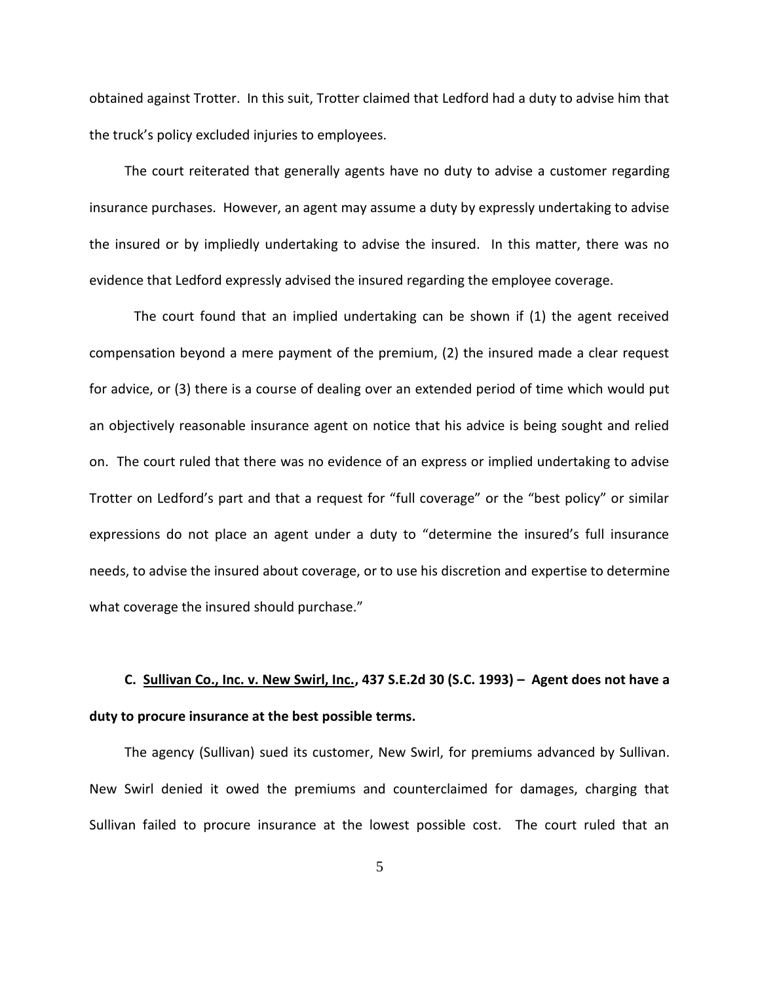obtained against Trotter. In this suit, Trotter claimed that Ledford had a duty to advise him that the truck's policy excluded injuries to employees.

The court reiterated that generally agents have no duty to advise a customer regarding insurance purchases. However, an agent may assume a duty by expressly undertaking to advise the insured or by impliedly undertaking to advise the insured. In this matter, there was no evidence that Ledford expressly advised the insured regarding the employee coverage.

The court found that an implied undertaking can be shown if (1) the agent received compensation beyond a mere payment of the premium, (2) the insured made a clear request for advice, or (3) there is a course of dealing over an extended period of time which would put an objectively reasonable insurance agent on notice that his advice is being sought and relied on. The court ruled that there was no evidence of an express or implied undertaking to advise Trotter on Ledford's part and that a request for "full coverage" or the "best policy" or similar expressions do not place an agent under a duty to "determine the insured's full insurance needs, to advise the insured about coverage, or to use his discretion and expertise to determine what coverage the insured should purchase."

# **C. Sullivan Co., Inc. v. New Swirl, Inc., 437 S.E.2d 30 (S.C. 1993) – Agent does not have a duty to procure insurance at the best possible terms.**

The agency (Sullivan) sued its customer, New Swirl, for premiums advanced by Sullivan. New Swirl denied it owed the premiums and counterclaimed for damages, charging that Sullivan failed to procure insurance at the lowest possible cost. The court ruled that an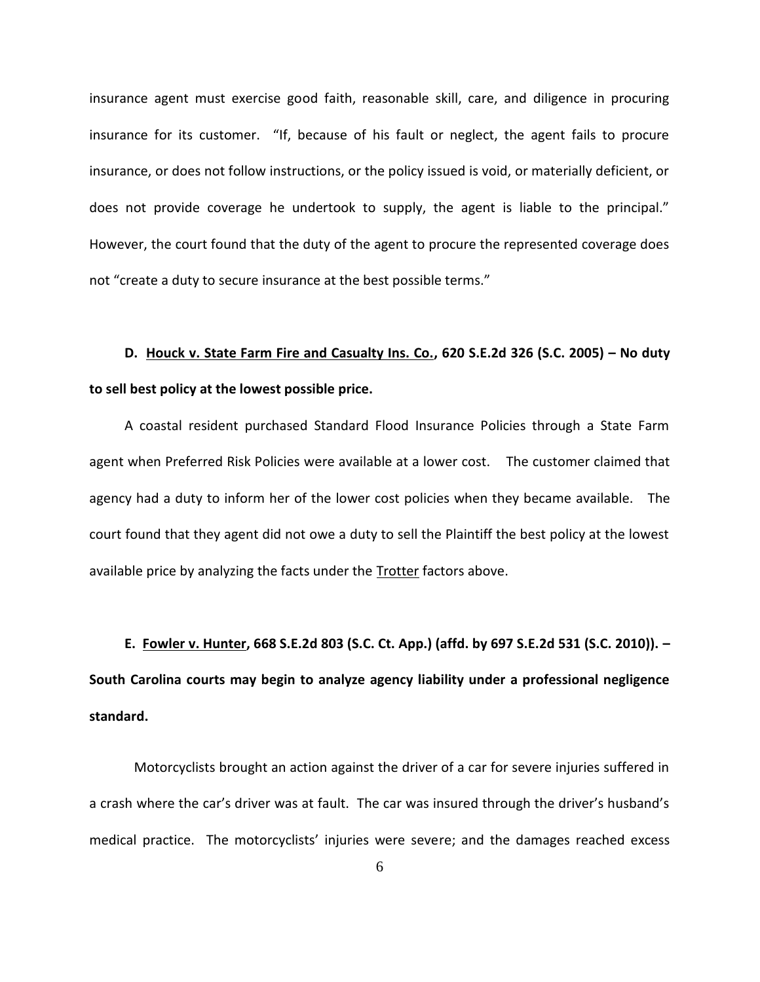insurance agent must exercise good faith, reasonable skill, care, and diligence in procuring insurance for its customer. "If, because of his fault or neglect, the agent fails to procure insurance, or does not follow instructions, or the policy issued is void, or materially deficient, or does not provide coverage he undertook to supply, the agent is liable to the principal." However, the court found that the duty of the agent to procure the represented coverage does not "create a duty to secure insurance at the best possible terms."

# **D. Houck v. State Farm Fire and Casualty Ins. Co., 620 S.E.2d 326 (S.C. 2005) – No duty to sell best policy at the lowest possible price.**

A coastal resident purchased Standard Flood Insurance Policies through a State Farm agent when Preferred Risk Policies were available at a lower cost. The customer claimed that agency had a duty to inform her of the lower cost policies when they became available. The court found that they agent did not owe a duty to sell the Plaintiff the best policy at the lowest available price by analyzing the facts under the Trotter factors above.

**E. Fowler v. Hunter, 668 S.E.2d 803 (S.C. Ct. App.) (affd. by 697 S.E.2d 531 (S.C. 2010)). – South Carolina courts may begin to analyze agency liability under a professional negligence standard.**

Motorcyclists brought an action against the driver of a car for severe injuries suffered in a crash where the car's driver was at fault. The car was insured through the driver's husband's medical practice. The motorcyclists' injuries were severe; and the damages reached excess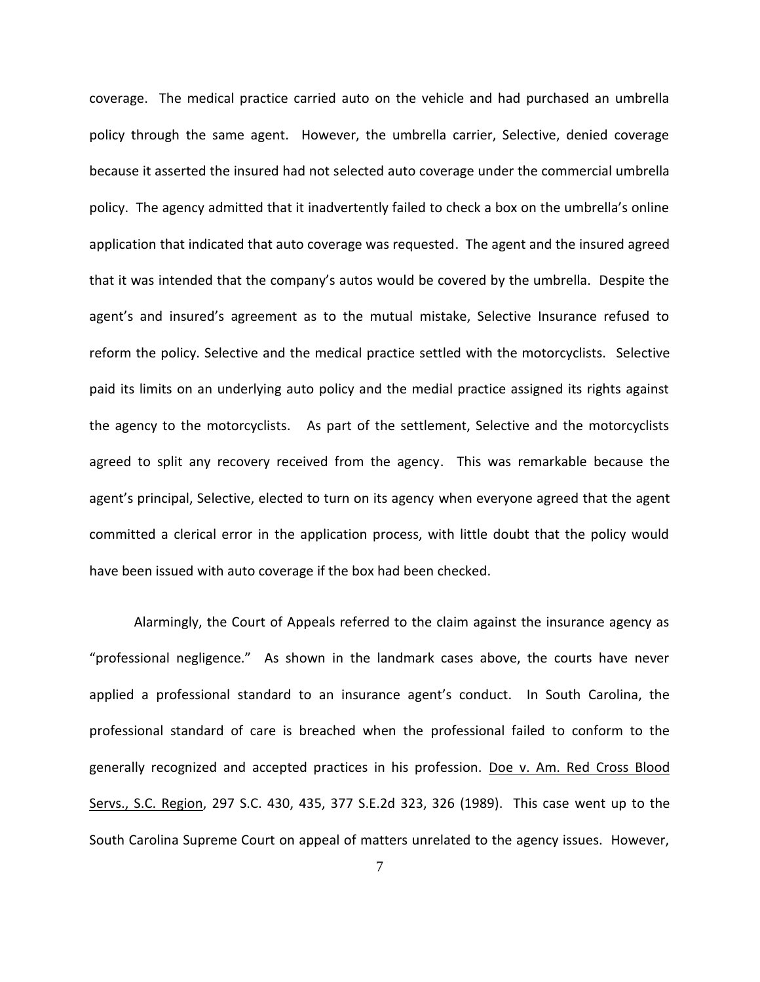coverage. The medical practice carried auto on the vehicle and had purchased an umbrella policy through the same agent. However, the umbrella carrier, Selective, denied coverage because it asserted the insured had not selected auto coverage under the commercial umbrella policy. The agency admitted that it inadvertently failed to check a box on the umbrella's online application that indicated that auto coverage was requested. The agent and the insured agreed that it was intended that the company's autos would be covered by the umbrella. Despite the agent's and insured's agreement as to the mutual mistake, Selective Insurance refused to reform the policy. Selective and the medical practice settled with the motorcyclists. Selective paid its limits on an underlying auto policy and the medial practice assigned its rights against the agency to the motorcyclists. As part of the settlement, Selective and the motorcyclists agreed to split any recovery received from the agency. This was remarkable because the agent's principal, Selective, elected to turn on its agency when everyone agreed that the agent committed a clerical error in the application process, with little doubt that the policy would have been issued with auto coverage if the box had been checked.

Alarmingly, the Court of Appeals referred to the claim against the insurance agency as "professional negligence." As shown in the landmark cases above, the courts have never applied a professional standard to an insurance agent's conduct. In South Carolina, the professional standard of care is breached when the professional failed to conform to the generally recognized and accepted practices in his profession. Doe v. Am. Red Cross Blood Servs., S.C. Region, 297 S.C. 430, 435, 377 S.E.2d 323, 326 (1989). This case went up to the South Carolina Supreme Court on appeal of matters unrelated to the agency issues. However,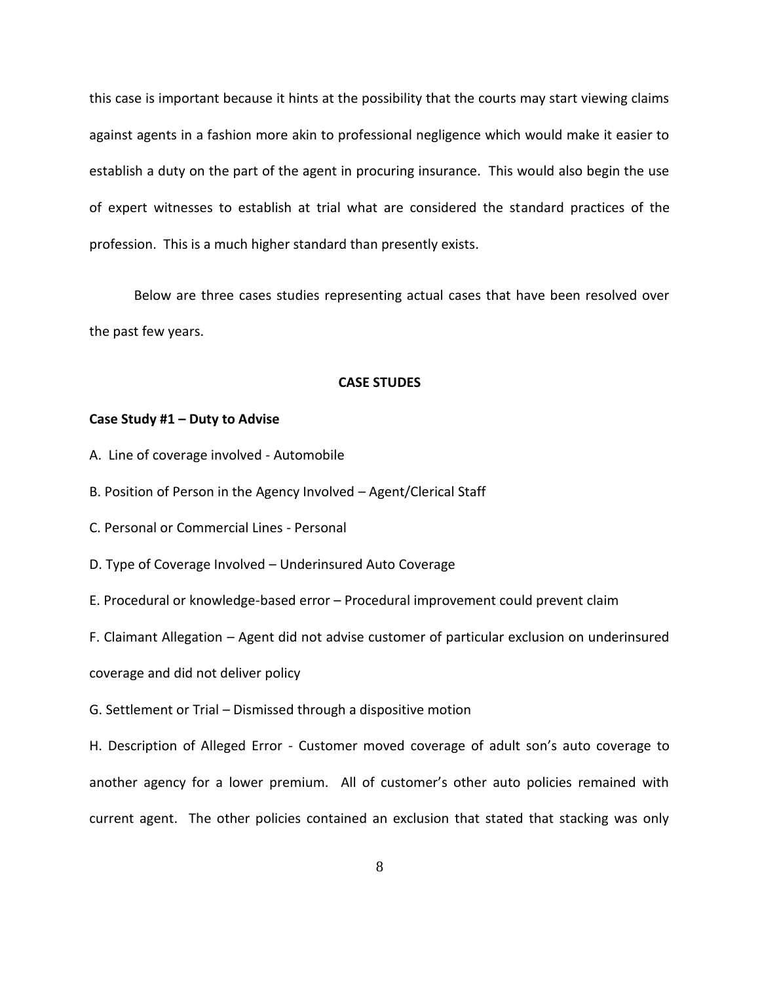this case is important because it hints at the possibility that the courts may start viewing claims against agents in a fashion more akin to professional negligence which would make it easier to establish a duty on the part of the agent in procuring insurance. This would also begin the use of expert witnesses to establish at trial what are considered the standard practices of the profession. This is a much higher standard than presently exists.

Below are three cases studies representing actual cases that have been resolved over the past few years.

#### **CASE STUDES**

#### **Case Study #1 – Duty to Advise**

- A. Line of coverage involved Automobile
- B. Position of Person in the Agency Involved Agent/Clerical Staff
- C. Personal or Commercial Lines Personal
- D. Type of Coverage Involved Underinsured Auto Coverage
- E. Procedural or knowledge-based error Procedural improvement could prevent claim

F. Claimant Allegation – Agent did not advise customer of particular exclusion on underinsured

coverage and did not deliver policy

G. Settlement or Trial – Dismissed through a dispositive motion

H. Description of Alleged Error - Customer moved coverage of adult son's auto coverage to another agency for a lower premium. All of customer's other auto policies remained with current agent. The other policies contained an exclusion that stated that stacking was only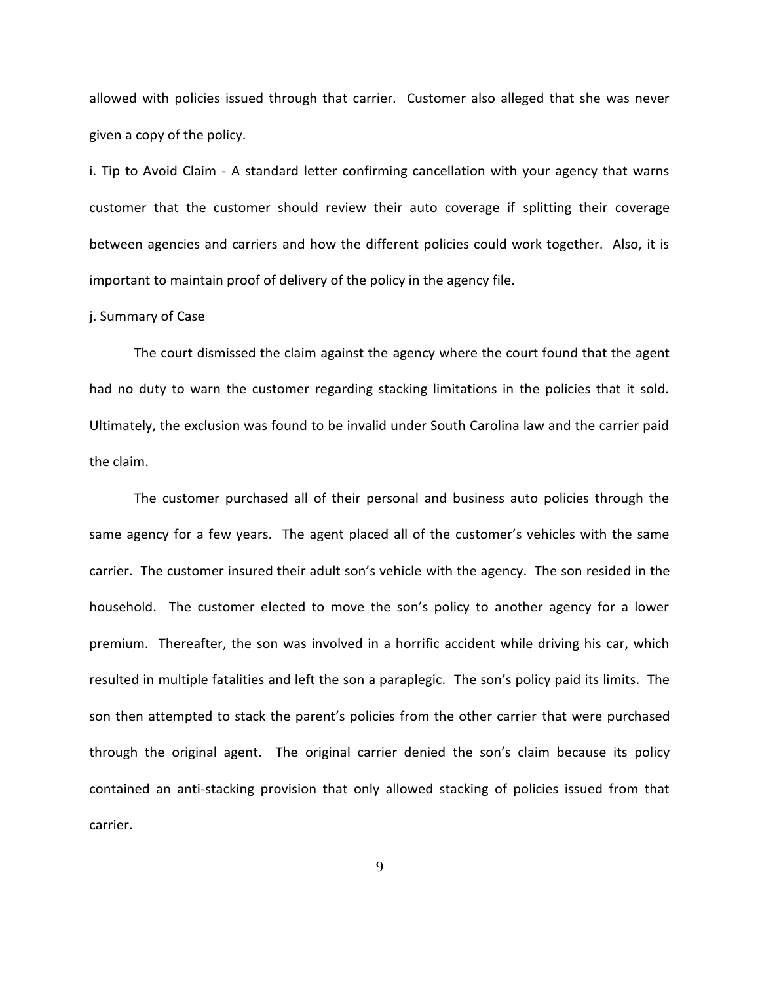allowed with policies issued through that carrier. Customer also alleged that she was never given a copy of the policy.

i. Tip to Avoid Claim - A standard letter confirming cancellation with your agency that warns customer that the customer should review their auto coverage if splitting their coverage between agencies and carriers and how the different policies could work together. Also, it is important to maintain proof of delivery of the policy in the agency file.

#### j. Summary of Case

The court dismissed the claim against the agency where the court found that the agent had no duty to warn the customer regarding stacking limitations in the policies that it sold. Ultimately, the exclusion was found to be invalid under South Carolina law and the carrier paid the claim.

The customer purchased all of their personal and business auto policies through the same agency for a few years. The agent placed all of the customer's vehicles with the same carrier. The customer insured their adult son's vehicle with the agency. The son resided in the household. The customer elected to move the son's policy to another agency for a lower premium. Thereafter, the son was involved in a horrific accident while driving his car, which resulted in multiple fatalities and left the son a paraplegic. The son's policy paid its limits. The son then attempted to stack the parent's policies from the other carrier that were purchased through the original agent. The original carrier denied the son's claim because its policy contained an anti-stacking provision that only allowed stacking of policies issued from that carrier.

9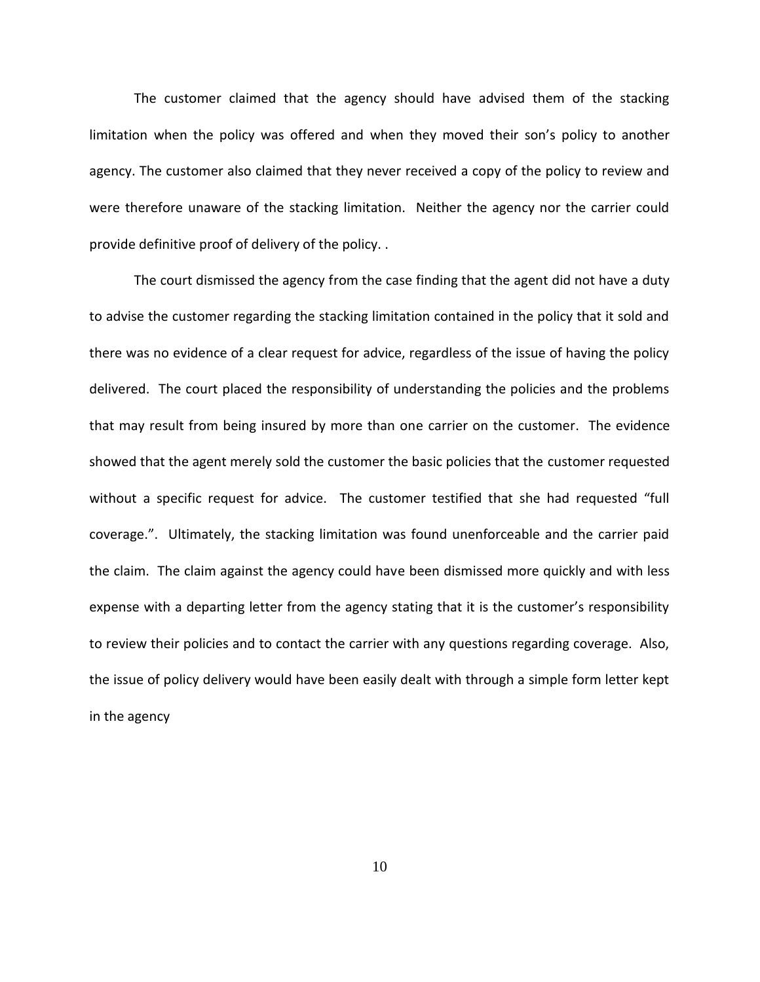The customer claimed that the agency should have advised them of the stacking limitation when the policy was offered and when they moved their son's policy to another agency. The customer also claimed that they never received a copy of the policy to review and were therefore unaware of the stacking limitation. Neither the agency nor the carrier could provide definitive proof of delivery of the policy. .

The court dismissed the agency from the case finding that the agent did not have a duty to advise the customer regarding the stacking limitation contained in the policy that it sold and there was no evidence of a clear request for advice, regardless of the issue of having the policy delivered. The court placed the responsibility of understanding the policies and the problems that may result from being insured by more than one carrier on the customer. The evidence showed that the agent merely sold the customer the basic policies that the customer requested without a specific request for advice. The customer testified that she had requested "full coverage.". Ultimately, the stacking limitation was found unenforceable and the carrier paid the claim. The claim against the agency could have been dismissed more quickly and with less expense with a departing letter from the agency stating that it is the customer's responsibility to review their policies and to contact the carrier with any questions regarding coverage. Also, the issue of policy delivery would have been easily dealt with through a simple form letter kept in the agency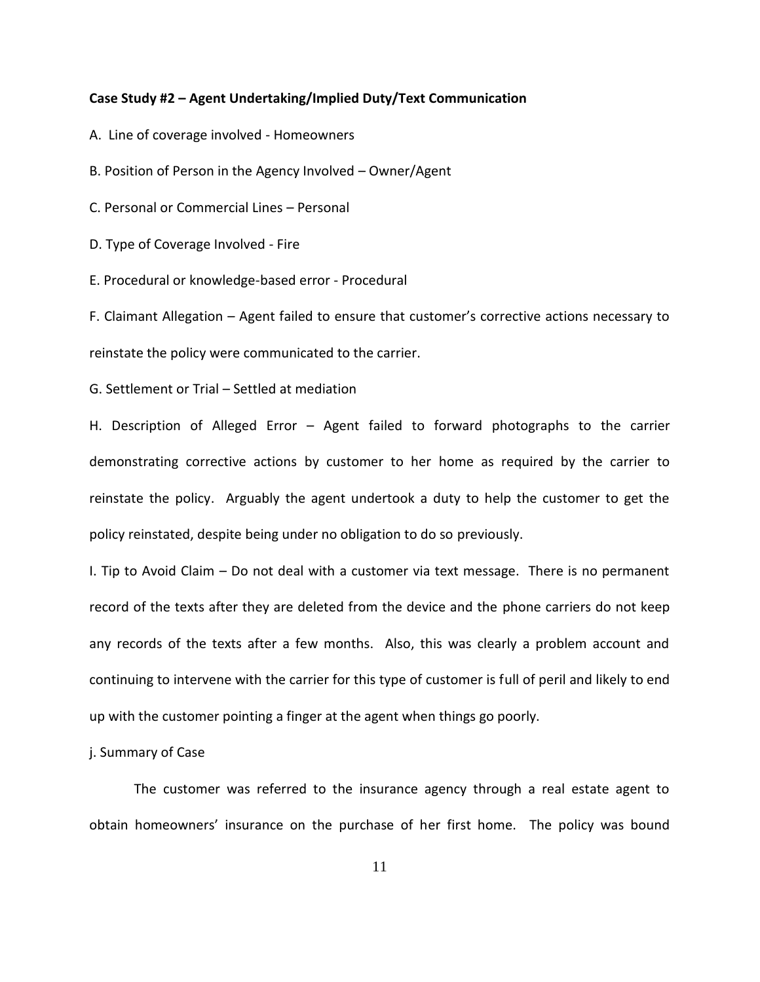#### **Case Study #2 – Agent Undertaking/Implied Duty/Text Communication**

A. Line of coverage involved - Homeowners

B. Position of Person in the Agency Involved – Owner/Agent

C. Personal or Commercial Lines – Personal

D. Type of Coverage Involved - Fire

E. Procedural or knowledge-based error - Procedural

F. Claimant Allegation – Agent failed to ensure that customer's corrective actions necessary to reinstate the policy were communicated to the carrier.

G. Settlement or Trial – Settled at mediation

H. Description of Alleged Error – Agent failed to forward photographs to the carrier demonstrating corrective actions by customer to her home as required by the carrier to reinstate the policy. Arguably the agent undertook a duty to help the customer to get the policy reinstated, despite being under no obligation to do so previously.

I. Tip to Avoid Claim – Do not deal with a customer via text message. There is no permanent record of the texts after they are deleted from the device and the phone carriers do not keep any records of the texts after a few months. Also, this was clearly a problem account and continuing to intervene with the carrier for this type of customer is full of peril and likely to end up with the customer pointing a finger at the agent when things go poorly.

j. Summary of Case

The customer was referred to the insurance agency through a real estate agent to obtain homeowners' insurance on the purchase of her first home. The policy was bound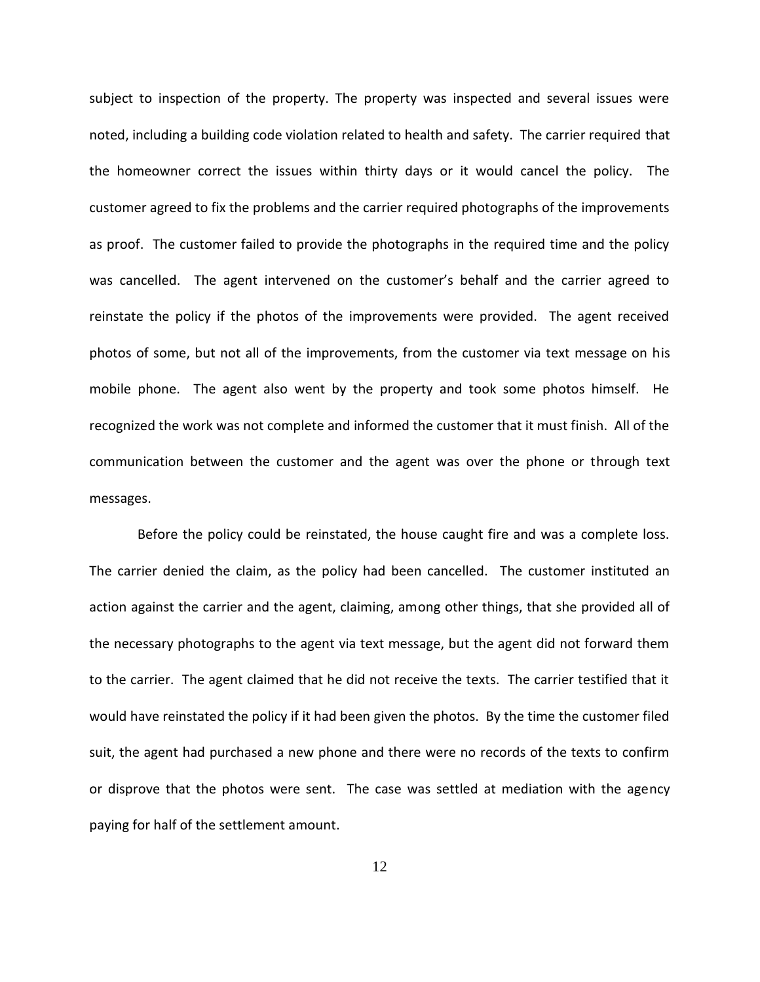subject to inspection of the property. The property was inspected and several issues were noted, including a building code violation related to health and safety. The carrier required that the homeowner correct the issues within thirty days or it would cancel the policy. The customer agreed to fix the problems and the carrier required photographs of the improvements as proof. The customer failed to provide the photographs in the required time and the policy was cancelled. The agent intervened on the customer's behalf and the carrier agreed to reinstate the policy if the photos of the improvements were provided. The agent received photos of some, but not all of the improvements, from the customer via text message on his mobile phone. The agent also went by the property and took some photos himself. He recognized the work was not complete and informed the customer that it must finish. All of the communication between the customer and the agent was over the phone or through text messages.

Before the policy could be reinstated, the house caught fire and was a complete loss. The carrier denied the claim, as the policy had been cancelled. The customer instituted an action against the carrier and the agent, claiming, among other things, that she provided all of the necessary photographs to the agent via text message, but the agent did not forward them to the carrier. The agent claimed that he did not receive the texts. The carrier testified that it would have reinstated the policy if it had been given the photos. By the time the customer filed suit, the agent had purchased a new phone and there were no records of the texts to confirm or disprove that the photos were sent. The case was settled at mediation with the agency paying for half of the settlement amount.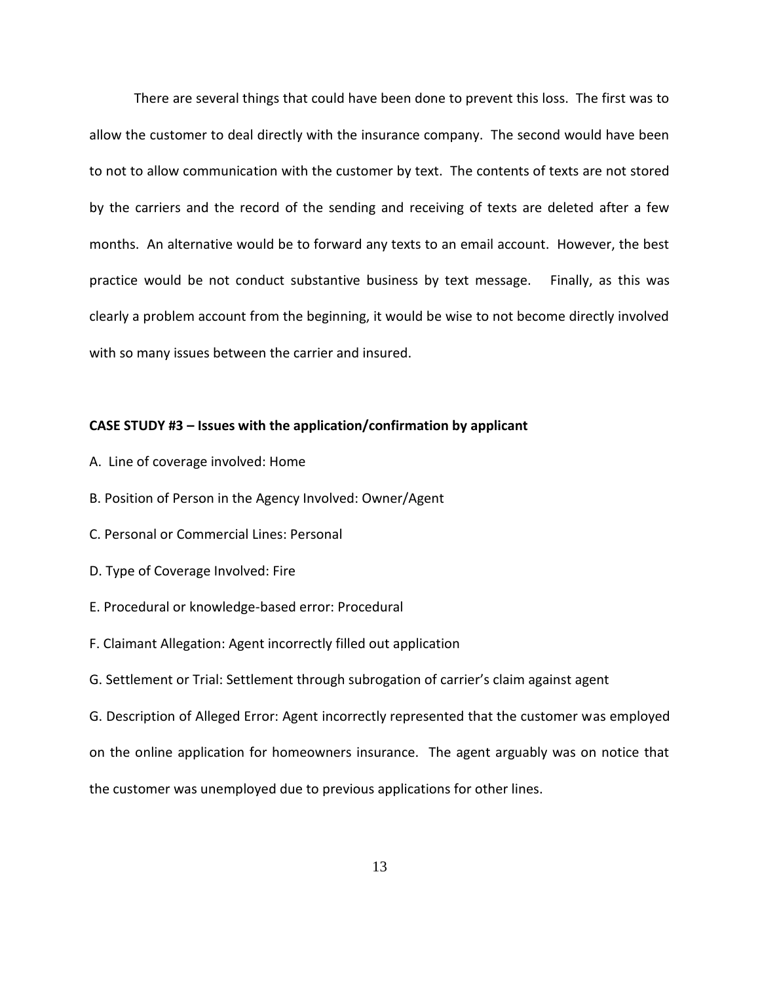There are several things that could have been done to prevent this loss. The first was to allow the customer to deal directly with the insurance company. The second would have been to not to allow communication with the customer by text. The contents of texts are not stored by the carriers and the record of the sending and receiving of texts are deleted after a few months. An alternative would be to forward any texts to an email account. However, the best practice would be not conduct substantive business by text message. Finally, as this was clearly a problem account from the beginning, it would be wise to not become directly involved with so many issues between the carrier and insured.

#### **CASE STUDY #3 – Issues with the application/confirmation by applicant**

- A. Line of coverage involved: Home
- B. Position of Person in the Agency Involved: Owner/Agent
- C. Personal or Commercial Lines: Personal
- D. Type of Coverage Involved: Fire
- E. Procedural or knowledge-based error: Procedural
- F. Claimant Allegation: Agent incorrectly filled out application
- G. Settlement or Trial: Settlement through subrogation of carrier's claim against agent

G. Description of Alleged Error: Agent incorrectly represented that the customer was employed on the online application for homeowners insurance. The agent arguably was on notice that the customer was unemployed due to previous applications for other lines.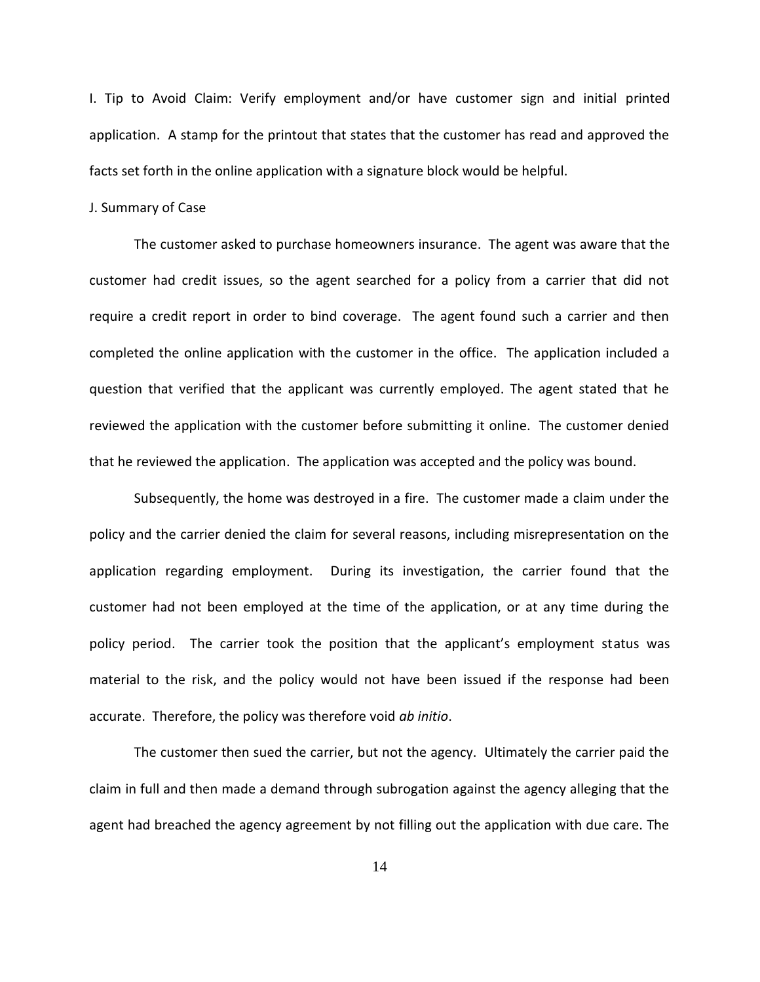I. Tip to Avoid Claim: Verify employment and/or have customer sign and initial printed application. A stamp for the printout that states that the customer has read and approved the facts set forth in the online application with a signature block would be helpful.

#### J. Summary of Case

The customer asked to purchase homeowners insurance. The agent was aware that the customer had credit issues, so the agent searched for a policy from a carrier that did not require a credit report in order to bind coverage. The agent found such a carrier and then completed the online application with the customer in the office. The application included a question that verified that the applicant was currently employed. The agent stated that he reviewed the application with the customer before submitting it online. The customer denied that he reviewed the application. The application was accepted and the policy was bound.

Subsequently, the home was destroyed in a fire. The customer made a claim under the policy and the carrier denied the claim for several reasons, including misrepresentation on the application regarding employment. During its investigation, the carrier found that the customer had not been employed at the time of the application, or at any time during the policy period. The carrier took the position that the applicant's employment status was material to the risk, and the policy would not have been issued if the response had been accurate. Therefore, the policy was therefore void *ab initio*.

The customer then sued the carrier, but not the agency. Ultimately the carrier paid the claim in full and then made a demand through subrogation against the agency alleging that the agent had breached the agency agreement by not filling out the application with due care. The